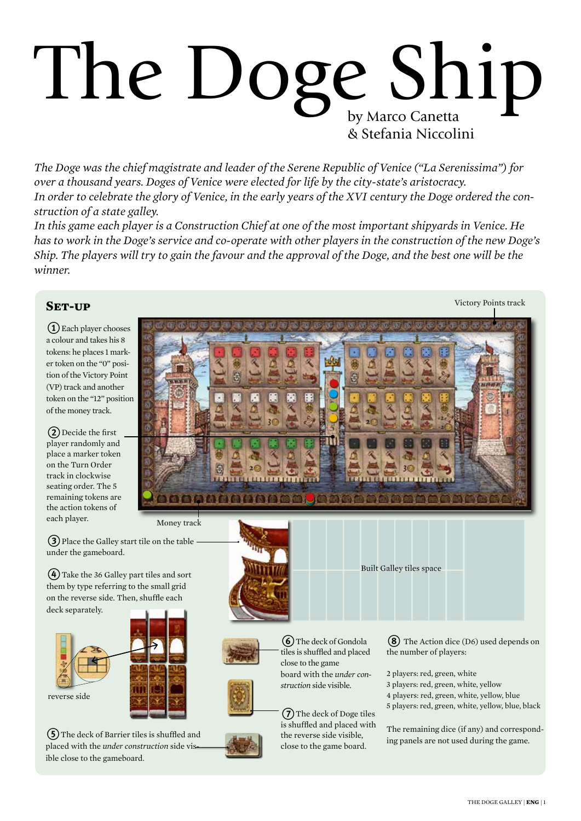# by Marco Canetta & Stefania Niccolini The Doge Ship

*The Doge was the chief magistrate and leader of the Serene Republic of Venice ("La Serenissima") for over a thousand years. Doges of Venice were elected for life by the city-state's aristocracy. In order to celebrate the glory of Venice, in the early years of the XVI century the Doge ordered the construction of a state galley.*

*In this game each player is a Construction Chief at one of the most important shipyards in Venice. He has to work in the Doge's service and co-operate with other players in the construction of the new Doge's Ship. The players will try to gain the favour and the approval of the Doge, and the best one will be the winner.*

# **Set-up**

1Each player chooses a colour and takes his 8 tokens: he places 1 marker token on the "0" position of the Victory Point (VP) track and another token on the "12" position of the money track.

(2) Decide the first player randomly and place a marker token on the Turn Order track in clockwise seating order. The 5 remaining tokens are the action tokens of each player.

under the gameboard.

deck separately.

reverse side



(5) The deck of Barrier tiles is shuffled and placed with the *under construction* side visible close to the gameboard.



is shuffled and placed with the reverse side visible, close to the game board.

Victory Points track

The remaining dice (if any) and corresponding panels are not used during the game.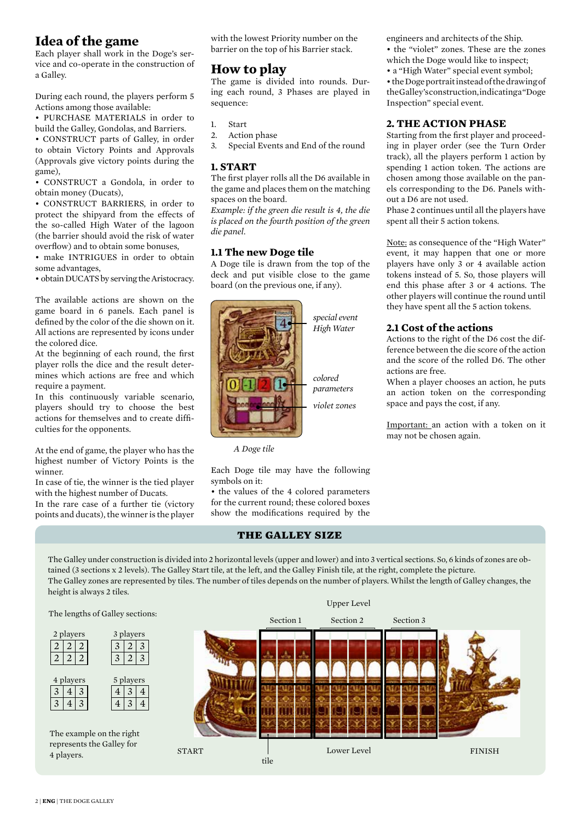# **Idea of the game**

Each player shall work in the Doge's service and co-operate in the construction of a Galley.

During each round, the players perform 5 Actions among those available:

• PURCHASE MATERIALS in order to build the Galley, Gondolas, and Barriers.

• CONSTRUCT parts of Galley, in order to obtain Victory Points and Approvals (Approvals give victory points during the game),

• CONSTRUCT a Gondola, in order to obtain money (Ducats),

• CONSTRUCT BARRIERS, in order to protect the shipyard from the effects of the so-called High Water of the lagoon (the barrier should avoid the risk of water overflow) and to obtain some bonuses,

• make INTRIGUES in order to obtain some advantages,

• obtain DUCATS by serving the Aristocracy.

The available actions are shown on the game board in 6 panels. Each panel is defined by the color of the die shown on it. All actions are represented by icons under the colored dice.

At the beginning of each round, the first player rolls the dice and the result determines which actions are free and which require a payment.

In this continuously variable scenario, players should try to choose the best actions for themselves and to create difficulties for the opponents.

At the end of game, the player who has the highest number of Victory Points is the winner.

In case of tie, the winner is the tied player with the highest number of Ducats.

In the rare case of a further tie (victory points and ducats), the winner is the player with the lowest Priority number on the barrier on the top of his Barrier stack.

# **How to play**

The game is divided into rounds. During each round, 3 Phases are played in sequence:

- 1. Start
- 2. Action phase
- 3. Special Events and End of the round

## **1. START**

The first player rolls all the D6 available in the game and places them on the matching spaces on the board.

*Example: if the green die result is 4, the die is placed on the fourth position of the green die panel.*

## **1.1 The new Doge tile**

A Doge tile is drawn from the top of the deck and put visible close to the game board (on the previous one, if any).



 *A Doge tile*

Each Doge tile may have the following symbols on it:

• the values of the 4 colored parameters for the current round; these colored boxes show the modifications required by the

## **the galley size**

The Galley under construction is divided into 2 horizontal levels (upper and lower) and into 3 vertical sections. So, 6 kinds of zones are obtained (3 sections x 2 levels). The Galley Start tile, at the left, and the Galley Finish tile, at the right, complete the picture. The Galley zones are represented by tiles. The number of tiles depends on the number of players. Whilst the length of Galley changes, the height is always 2 tiles.



engineers and architects of the Ship.

• the "violet" zones. These are the zones which the Doge would like to inspect;

• a "High Water" special event symbol;

• the Doge portrait instead of the drawing of the Galley's construction, indicating a "Doge Inspection" special event.

## **2. THE ACTION PHASE**

Starting from the first player and proceeding in player order (see the Turn Order track), all the players perform 1 action by spending 1 action token. The actions are chosen among those available on the panels corresponding to the D6. Panels without a D6 are not used.

Phase 2 continues until all the players have spent all their 5 action tokens.

Note: as consequence of the "High Water" event, it may happen that one or more players have only 3 or 4 available action tokens instead of 5. So, those players will end this phase after 3 or 4 actions. The other players will continue the round until they have spent all the 5 action tokens.

## **2.1 Cost of the actions**

Actions to the right of the D6 cost the difference between the die score of the action and the score of the rolled D6. The other actions are free.

When a player chooses an action, he puts an action token on the corresponding space and pays the cost, if any.

Important: an action with a token on it may not be chosen again.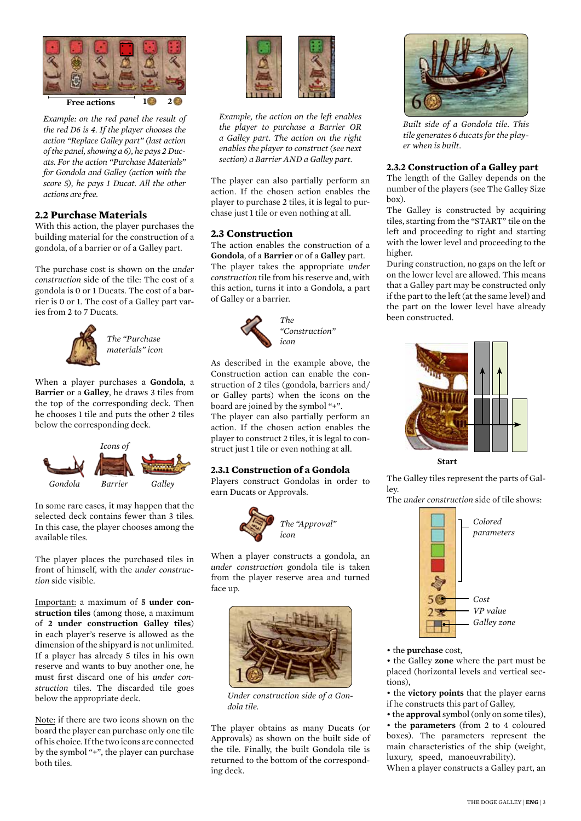

*Example: on the red panel the result of the red D6 is 4. If the player chooses the action "Replace Galley part" (last action of the panel, showing a 6), he pays 2 Ducats. For the action "Purchase Materials" for Gondola and Galley (action with the score 5), he pays 1 Ducat. All the other actions are free.*

## **2.2 Purchase Materials**

With this action, the player purchases the building material for the construction of a gondola, of a barrier or of a Galley part.

The purchase cost is shown on the *under construction* side of the tile: The cost of a gondola is 0 or 1 Ducats. The cost of a barrier is 0 or 1. The cost of a Galley part varies from 2 to 7 Ducats.



*The "Purchase materials" icon*

When a player purchases a **Gondola**, a **Barrier** or a **Galley**, he draws 3 tiles from the top of the corresponding deck. Then he chooses 1 tile and puts the other 2 tiles below the corresponding deck.



In some rare cases, it may happen that the selected deck contains fewer than 3 tiles. In this case, the player chooses among the available tiles.

The player places the purchased tiles in front of himself, with the *under construction* side visible.

Important: a maximum of **5 under construction tiles** (among those, a maximum of **2 under construction Galley tiles**) in each player's reserve is allowed as the dimension of the shipyard is not unlimited. If a player has already 5 tiles in his own reserve and wants to buy another one, he must first discard one of his *under construction* tiles. The discarded tile goes below the appropriate deck.

Note: if there are two icons shown on the board the player can purchase only one tile of his choice. If the two icons are connected by the symbol "+", the player can purchase both tiles.



*Example, the action on the left enables the player to purchase a Barrier OR a Galley part. The action on the right enables the player to construct (see next section) a Barrier AND a Galley part.*

The player can also partially perform an action. If the chosen action enables the player to purchase 2 tiles, it is legal to purchase just 1 tile or even nothing at all.

#### **2.3 Construction**

The action enables the construction of a **Gondola**, of a **Barrier** or of a **Galley** part. The player takes the appropriate *under construction* tile from his reserve and, with this action, turns it into a Gondola, a part of Galley or a barrier.



As described in the example above, the Construction action can enable the construction of 2 tiles (gondola, barriers and/ or Galley parts) when the icons on the board are joined by the symbol "+". The player can also partially perform an action. If the chosen action enables the player to construct 2 tiles, it is legal to construct just 1 tile or even nothing at all.

## **2.3.1 Construction of a Gondola**

Players construct Gondolas in order to earn Ducats or Approvals.



When a player constructs a gondola, an *under construction* gondola tile is taken from the player reserve area and turned face up.



*Under construction side of a Gondola tile.*

The player obtains as many Ducats (or Approvals) as shown on the built side of the tile. Finally, the built Gondola tile is returned to the bottom of the corresponding deck.



*Built side of a Gondola tile. This tile generates 6 ducats for the player when is built.*

#### **2.3.2 Construction of a Galley part**

The length of the Galley depends on the number of the players (see The Galley Size box).

The Galley is constructed by acquiring tiles, starting from the "START" tile on the left and proceeding to right and starting with the lower level and proceeding to the higher.

During construction, no gaps on the left or on the lower level are allowed. This means that a Galley part may be constructed only if the part to the left (at the same level) and the part on the lower level have already been constructed.



**Start**

The Galley tiles represent the parts of Galley.

The *under construction* side of tile shows:



#### • the **purchase** cost,

• the Galley **zone** where the part must be placed (horizontal levels and vertical sections),

• the **victory points** that the player earns if he constructs this part of Galley,

• the **approval** symbol (only on some tiles), • the **parameters** (from 2 to 4 coloured boxes). The parameters represent the

main characteristics of the ship (weight, luxury, speed, manoeuvrability).

When a player constructs a Galley part, an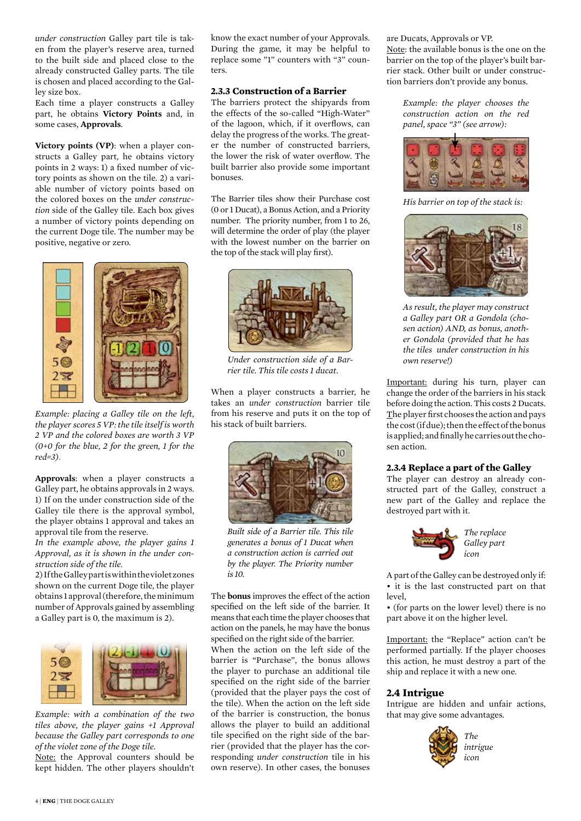*under construction* Galley part tile is taken from the player's reserve area, turned to the built side and placed close to the already constructed Galley parts. The tile is chosen and placed according to the Galley size box.

Each time a player constructs a Galley part, he obtains **Victory Points** and, in some cases, **Approvals**.

**Victory points (VP)**: when a player constructs a Galley part, he obtains victory points in 2 ways: 1) a fixed number of victory points as shown on the tile. 2) a variable number of victory points based on the colored boxes on the *under construction* side of the Galley tile. Each box gives a number of victory points depending on the current Doge tile. The number may be positive, negative or zero.



*Example: placing a Galley tile on the left, the player scores 5 VP: the tile itself is worth 2 VP and the colored boxes are worth 3 VP (0+0 for the blue, 2 for the green, 1 for the red=3).*

**Approvals**: when a player constructs a Galley part, he obtains approvals in 2 ways. 1) If on the under construction side of the Galley tile there is the approval symbol, the player obtains 1 approval and takes an approval tile from the reserve.

*In the example above, the player gains 1 Approval, as it is shown in the under construction side of the tile.* 

2) If the Galley part is within the violet zones shown on the current Doge tile, the player obtains 1 approval (therefore, the minimum number of Approvals gained by assembling a Galley part is 0, the maximum is 2).



*Example: with a combination of the two tiles above, the player gains +1 Approval because the Galley part corresponds to one of the violet zone of the Doge tile.* 

Note: the Approval counters should be kept hidden. The other players shouldn't

know the exact number of your Approvals. During the game, it may be helpful to replace some "1" counters with "3" counters.

## **2.3.3 Construction of a Barrier**

The barriers protect the shipyards from the effects of the so-called "High-Water" of the lagoon, which, if it overflows, can delay the progress of the works. The greater the number of constructed barriers, the lower the risk of water overflow. The built barrier also provide some important bonuses.

The Barrier tiles show their Purchase cost (0 or 1 Ducat), a Bonus Action, and a Priority number. The priority number, from 1 to 26, will determine the order of play (the player with the lowest number on the barrier on the top of the stack will play first).



*Under construction side of a Barrier tile. This tile costs 1 ducat.* 

When a player constructs a barrier, he takes an *under construction* barrier tile from his reserve and puts it on the top of his stack of built barriers.



*Built side of a Barrier tile. This tile generates a bonus of 1 Ducat when a construction action is carried out by the player. The Priority number is 10.*

The **bonus** improves the effect of the action specified on the left side of the barrier. It means that each time the player chooses that action on the panels, he may have the bonus specified on the right side of the barrier.

When the action on the left side of the barrier is "Purchase", the bonus allows the player to purchase an additional tile specified on the right side of the barrier (provided that the player pays the cost of the tile). When the action on the left side of the barrier is construction, the bonus allows the player to build an additional tile specified on the right side of the barrier (provided that the player has the corresponding *under construction* tile in his own reserve). In other cases, the bonuses

are Ducats, Approvals or VP. Note: the available bonus is the one on the barrier on the top of the player's built barrier stack. Other built or under construction barriers don't provide any bonus.

*Example: the player chooses the construction action on the red panel, space "3" (see arrow):*



*His barrier on top of the stack is:* 



*As result, the player may construct a Galley part OR a Gondola (chosen action) AND, as bonus, another Gondola (provided that he has the tiles under construction in his own reserve!)*

Important: during his turn, player can change the order of the barriers in his stack before doing the action. This costs 2 Ducats. The player first chooses the action and pays the cost (if due); then the effect of the bonus is applied; and finally he carries out the chosen action.

#### **2.3.4 Replace a part of the Galley**

The player can destroy an already constructed part of the Galley, construct a new part of the Galley and replace the destroyed part with it.



*The replace Galley part*

A part of the Galley can be destroyed only if: • it is the last constructed part on that  $level<sub>1</sub>$ 

• (for parts on the lower level) there is no part above it on the higher level.

Important: the "Replace" action can't be performed partially. If the player chooses this action, he must destroy a part of the ship and replace it with a new one.

## **2.4 Intrigue**

Intrigue are hidden and unfair actions, that may give some advantages.



*The intrigue icon*